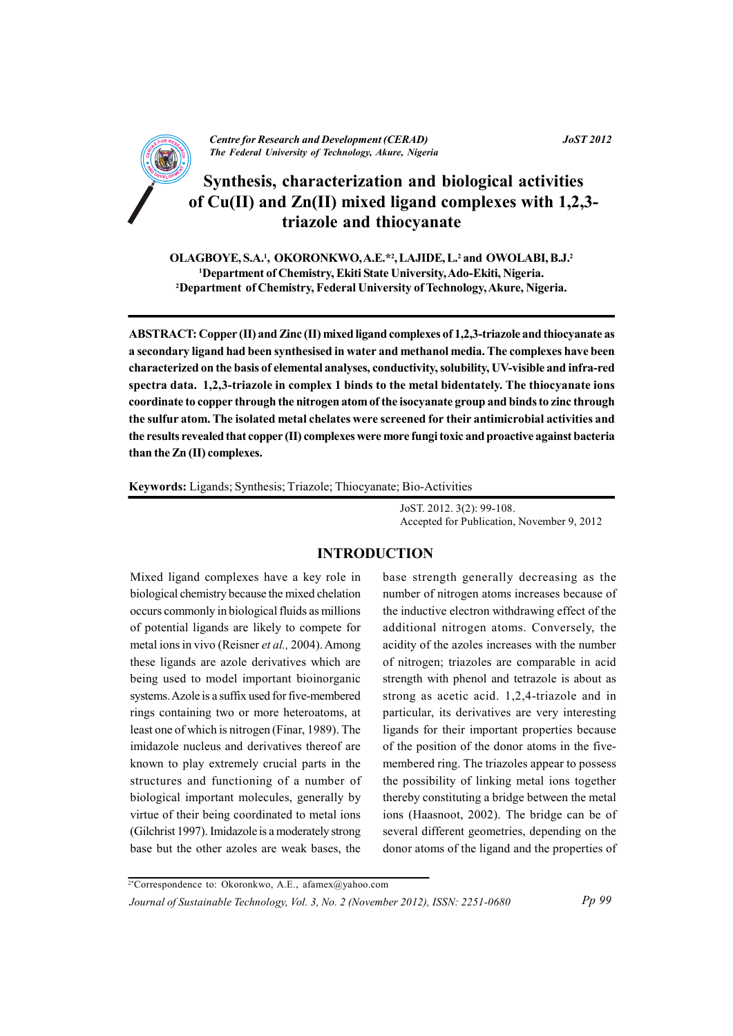

# Synthesis, characterization and biological activities of  $Cu(II)$  and  $Zn(II)$  mixed ligand complexes with 1,2,3triazole and thiocyanate

OLAGBOYE, S.A.<sup>1</sup>, OKORONKWO, A.E.<sup>\*2</sup>, LAJIDE, L.<sup>2</sup> and OWOLABI, B.J.<sup>2</sup> <sup>1</sup>Department of Chemistry, Ekiti State University, Ado-Ekiti, Nigeria. <sup>2</sup>Department of Chemistry, Federal University of Technology, Akure, Nigeria.

ABSTRACT: Copper (II) and Zinc (II) mixed ligand complexes of 1,2,3-triazole and thiocyanate as a secondary ligand had been synthesised in water and methanol media. The complexes have been characterized on the basis of elemental analyses, conductivity, solubility, UV-visible and infra-red spectra data. 1.2.3-triazole in complex 1 binds to the metal bidentately. The thiocyanate ions coordinate to copper through the nitrogen atom of the isocyanate group and binds to zinc through the sulfur atom. The isolated metal chelates were screened for their antimicrobial activities and the results revealed that copper (II) complexes were more fungi toxic and proactive against bacteria than the Zn (II) complexes.

Keywords: Ligands; Synthesis; Triazole; Thiocyanate; Bio-Activities

JoST. 2012. 3(2): 99-108. Accepted for Publication, November 9, 2012

# **INTRODUCTION**

Mixed ligand complexes have a key role in biological chemistry because the mixed chelation occurs commonly in biological fluids as millions of potential ligands are likely to compete for metal ions in vivo (Reisner et al., 2004). Among these ligands are azole derivatives which are being used to model important bioinorganic systems. Azole is a suffix used for five-membered rings containing two or more heteroatoms, at least one of which is nitrogen (Finar, 1989). The imidazole nucleus and derivatives thereof are known to play extremely crucial parts in the structures and functioning of a number of biological important molecules, generally by virtue of their being coordinated to metal ions (Gilchrist 1997). Imidazole is a moderately strong base but the other azoles are weak bases, the

base strength generally decreasing as the number of nitrogen atoms increases because of the inductive electron withdrawing effect of the additional nitrogen atoms. Conversely, the acidity of the azoles increases with the number of nitrogen; triazoles are comparable in acid strength with phenol and tetrazole is about as strong as acetic acid.  $1,2,4$ -triazole and in particular, its derivatives are very interesting ligands for their important properties because of the position of the donor atoms in the fivemembered ring. The triazoles appear to possess the possibility of linking metal ions together thereby constituting a bridge between the metal ions (Haasnoot, 2002). The bridge can be of several different geometries, depending on the donor atoms of the ligand and the properties of

Pp 99

<sup>2\*</sup>Correspondence to: Okoronkwo, A.E., afamex@yahoo.com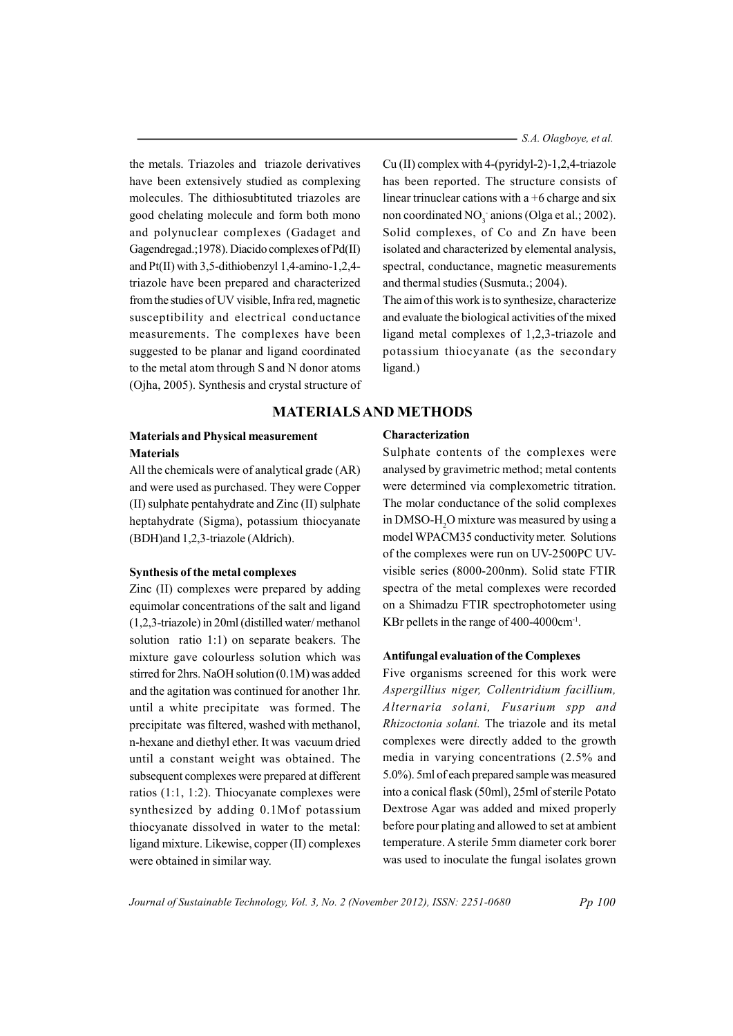- S.A. Olagboye, et al.

the metals. Triazoles and triazole derivatives have been extensively studied as complexing molecules. The dithiosubtituted triazoles are good chelating molecule and form both mono and polynuclear complexes (Gadaget and Gagendregad.; 1978). Diacido complexes of Pd(II) and  $Pt(II)$  with 3.5-dithiobenzyl 1.4-amino-1.2.4triazole have been prepared and characterized from the studies of UV visible, Infra red, magnetic susceptibility and electrical conductance measurements. The complexes have been suggested to be planar and ligand coordinated to the metal atom through S and N donor atoms (Ojha, 2005). Synthesis and crystal structure of

## **Materials and Physical measurement Materials**

All the chemicals were of analytical grade (AR) and were used as purchased. They were Copper (II) sulphate pentahydrate and Zinc (II) sulphate heptahydrate (Sigma), potassium thiocyanate (BDH) and 1,2,3-triazole (Aldrich).

#### Synthesis of the metal complexes

Zinc (II) complexes were prepared by adding equimolar concentrations of the salt and ligand  $(1,2,3-triazole)$  in 20ml (distilled water/methanol solution ratio 1:1) on separate beakers. The mixture gave colourless solution which was stirred for 2hrs. NaOH solution (0.1M) was added and the agitation was continued for another 1hr. until a white precipitate was formed. The precipitate was filtered, washed with methanol, n-hexane and diethyl ether. It was vacuum dried until a constant weight was obtained. The subsequent complexes were prepared at different ratios  $(1:1, 1:2)$ . Thiocyanate complexes were synthesized by adding 0.1Mof potassium thiocyanate dissolved in water to the metal: ligand mixture. Likewise, copper (II) complexes were obtained in similar way.

 $Cu (II)$  complex with 4-(pyridyl-2)-1,2,4-triazole has been reported. The structure consists of linear trinuclear cations with a  $+6$  charge and six non coordinated NO<sub>2</sub> anions (Olga et al.; 2002). Solid complexes, of Co and Zn have been isolated and characterized by elemental analysis, spectral, conductance, magnetic measurements and thermal studies (Susmuta.; 2004).

The aim of this work is to synthesize, characterize and evaluate the biological activities of the mixed ligand metal complexes of 1,2,3-triazole and potassium thiocyanate (as the secondary ligand.)

# **MATERIALS AND METHODS**

### Characterization

Sulphate contents of the complexes were analysed by gravimetric method; metal contents were determined via complexometric titration. The molar conductance of the solid complexes in DMSO-H<sub>2</sub>O mixture was measured by using a model WPACM35 conductivity meter. Solutions of the complexes were run on UV-2500PC UVvisible series (8000-200nm). Solid state FTIR spectra of the metal complexes were recorded on a Shimadzu FTIR spectrophotometer using KBr pellets in the range of  $400-4000$  cm<sup>-1</sup>.

#### **Antifungal evaluation of the Complexes**

Five organisms screened for this work were Aspergillius niger, Collentridium facillium, Alternaria solani, Fusarium spp and Rhizoctonia solani. The triazole and its metal complexes were directly added to the growth media in varying concentrations (2.5% and 5.0%). 5ml of each prepared sample was measured into a conical flask (50ml), 25ml of sterile Potato Dextrose Agar was added and mixed properly before pour plating and allowed to set at ambient temperature. A sterile 5mm diameter cork borer was used to inoculate the fungal isolates grown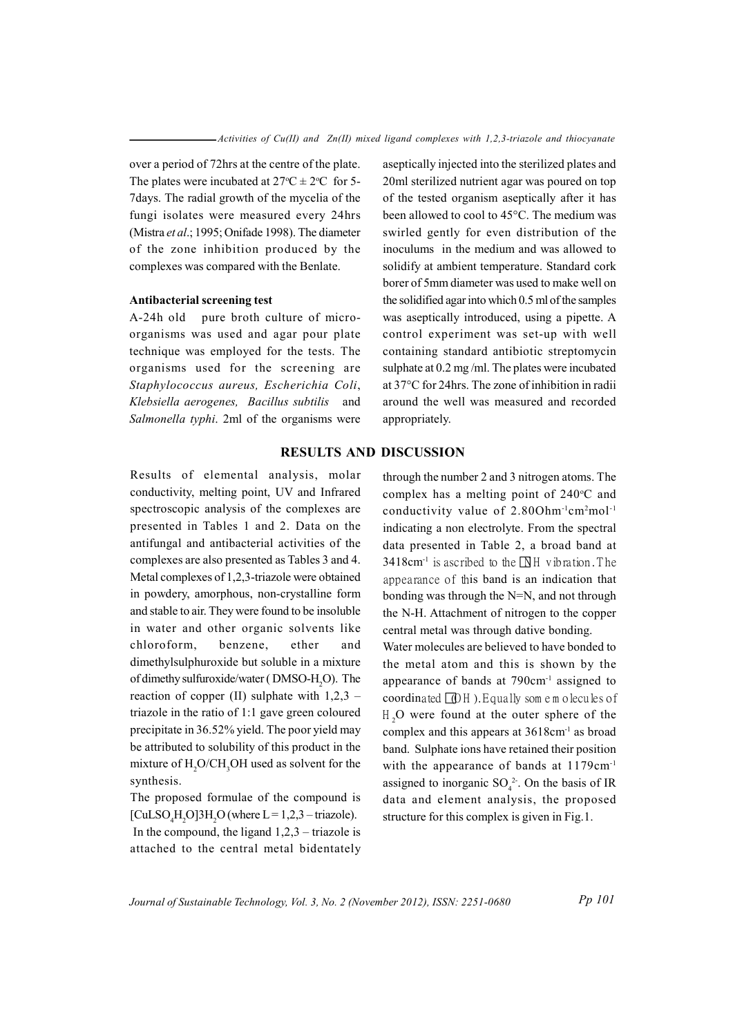over a period of 72 hrs at the centre of the plate. The plates were incubated at  $27^{\circ}$ C  $\pm$  2°C for 5-7 days. The radial growth of the mycelia of the fungi isolates were measured every 24hrs (Mistra et al.; 1995; Onifade 1998). The diameter of the zone inhibition produced by the complexes was compared with the Benlate.

#### Antibacterial screening test

A-24h old pure broth culture of microorganisms was used and agar pour plate technique was employed for the tests. The organisms used for the screening are Staphylococcus aureus, Escherichia Coli, Klebsiella aerogenes, Bacillus subtilis and Salmonella typhi. 2ml of the organisms were aseptically injected into the sterilized plates and 20ml sterilized nutrient agar was poured on top of the tested organism aseptically after it has been allowed to cool to 45°C. The medium was swirled gently for even distribution of the inoculums in the medium and was allowed to solidify at ambient temperature. Standard cork borer of 5mm diameter was used to make well on the solidified agar into which 0.5 ml of the samples was aseptically introduced, using a pipette. A control experiment was set-up with well containing standard antibiotic streptomycin sulphate at  $0.2$  mg/ml. The plates were incubated at 37°C for 24hrs. The zone of inhibition in radii around the well was measured and recorded appropriately.

## **RESULTS AND DISCUSSION**

Results of elemental analysis, molar conductivity, melting point, UV and Infrared spectroscopic analysis of the complexes are presented in Tables 1 and 2. Data on the antifungal and antibacterial activities of the complexes are also presented as Tables 3 and 4. Metal complexes of 1,2,3-triazole were obtained in powdery, amorphous, non-crystalline form and stable to air. They were found to be insoluble in water and other organic solvents like chloroform. benzene. ether and dimethylsulphuroxide but soluble in a mixture of dimethy sulfuroxide/water (DMSO-H,O). The reaction of copper (II) sulphate with  $1,2,3$  – triazole in the ratio of 1:1 gave green coloured precipitate in 36.52% yield. The poor yield may be attributed to solubility of this product in the mixture of H<sub>2</sub>O/CH<sub>2</sub>OH used as solvent for the synthesis.

The proposed formulae of the compound is [CuLSO, H, O]3H, O (where  $L = 1,2,3$  – triazole). In the compound, the ligand  $1,2,3$  – triazole is attached to the central metal bidentately

through the number 2 and 3 nitrogen atoms. The complex has a melting point of  $240^{\circ}$ C and conductivity value of 2.800hm<sup>-1</sup>cm<sup>2</sup>mol<sup>-1</sup> indicating a non electrolyte. From the spectral data presented in Table 2, a broad band at 3418cm<sup>-1</sup> is ascribed to the  $\overline{N}$ H vibration. The appearance of this band is an indication that bonding was through the N=N, and not through the N-H. Attachment of nitrogen to the copper central metal was through dative bonding. Water molecules are believed to have bonded to the metal atom and this is shown by the appearance of bands at  $790 \text{cm}^{-1}$  assigned to coordinated  $[0]$ H). Equally some molecules of  $H<sub>2</sub>O$  were found at the outer sphere of the complex and this appears at 3618cm<sup>-1</sup> as broad band. Sulphate ions have retained their position with the appearance of bands at 1179cm<sup>-1</sup> assigned to inorganic  $SO_4^2$ . On the basis of IR data and element analysis, the proposed structure for this complex is given in Fig.1.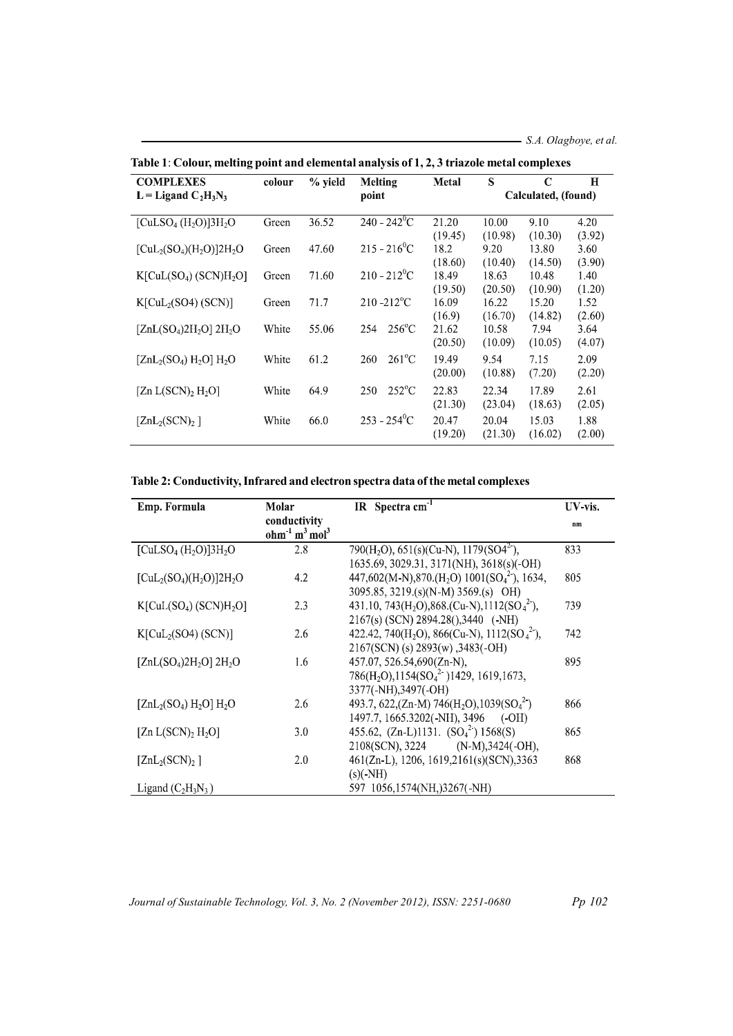$S.A. Olagboye, et al.$ 

| <b>COMPLEXES</b>                                         | colour | $%$ yield | Melting                    | <b>Metal</b> | S                   | C       | $\mathbf H$ |
|----------------------------------------------------------|--------|-----------|----------------------------|--------------|---------------------|---------|-------------|
| $L = Ligand C2H3N3$                                      |        |           | point                      |              | Calculated, (found) |         |             |
|                                                          |        |           |                            |              |                     |         |             |
| [CuLSO <sub>4</sub> (H <sub>2</sub> O)]3H <sub>2</sub> O | Green  | 36.52     | $240 - 242^{\circ}C$       | 21.20        | 10.00               | 9.10    | 4.20        |
|                                                          |        |           |                            | (19.45)      | (10.98)             | (10.30) | (3.92)      |
| $[CuL2(SO4)(H2O)]2H2O$                                   | Green  | 47.60     | $215 - 216^{\circ}C$       | 18.2         | 9.20                | 13.80   | 3.60        |
|                                                          |        |           |                            | (18.60)      | (10.40)             | (14.50) | (3.90)      |
| $K[CuL(SO4) (SCN)H2O]$                                   | Green  | 71.60     | $210 - 212$ <sup>o</sup> C | 18.49        | 18.63               | 10.48   | 1.40        |
|                                                          |        |           |                            | (19.50)      | (20.50)             | (10.90) | (1.20)      |
| K[CuL <sub>2</sub> (SO4) (SCN)]                          | Green  | 71.7      | $210 - 212$ <sup>o</sup> C | 16.09        | 16.22               | 15.20   | 1.52        |
|                                                          |        |           |                            | (16.9)       | (16.70)             | (14.82) | (2.60)      |
| $[ZnL(SO4)2H2O] 2H2O$                                    | White  | 55.06     | $256^{\circ}$ C<br>254     | 21.62        | 10.58               | 7.94    | 3.64        |
|                                                          |        |           |                            | (20.50)      | (10.09)             | (10.05) | (4.07)      |
| $[ZnL_2(SO_4) H_2O] H_2O$                                | White  | 61.2      | $261^{\circ}$ C<br>260     | 19.49        | 9.54                | 7.15    | 2.09        |
|                                                          |        |           |                            | (20.00)      | (10.88)             | (7.20)  | (2.20)      |
|                                                          |        |           |                            |              |                     |         |             |
| [Zn $L(SCN)_2$ H <sub>2</sub> O]                         | White  | 64.9      | $252^{\circ}$ C<br>250     | 22.83        | 22.34               | 17.89   | 2.61        |
|                                                          |        |           |                            | (21.30)      | (23.04)             | (18.63) | (2.05)      |
| $[ZnL_2(SCN)_2]$                                         | White  | 66.0      | $253 - 254$ <sup>o</sup> C | 20.47        | 20.04               | 15.03   | 1.88        |
|                                                          |        |           |                            | (19.20)      | (21.30)             | (16.02) | (2.00)      |

Table 1: Colour, melting point and elemental analysis of 1, 2, 3 triazole metal complexes

# Table 2: Conductivity, Infrared and electron spectra data of the metal complexes

| Emp. Formula                                             | Molar                                                            | IR Spectra cm <sup>-1</sup>                                                                                                    | UV-vis. |
|----------------------------------------------------------|------------------------------------------------------------------|--------------------------------------------------------------------------------------------------------------------------------|---------|
|                                                          | conductivity<br>ohm <sup>1</sup> m <sup>3</sup> mol <sup>3</sup> |                                                                                                                                | nm      |
| [CuLSO <sub>4</sub> (H <sub>2</sub> O)]3H <sub>2</sub> O | 2.8                                                              | 790(H <sub>2</sub> O), 651(s)(Cu-N), $\overline{1179(SO4^2)}$ ,<br>1635.69, 3029.31, 3171(NH), 3618(s)(-OH)                    | 833     |
| $[CuL_2(SO_4)(H_2O)]2H_2O$                               | 4.2                                                              | 447,602(M-N),870.(H <sub>2</sub> O) 1001(SO <sub>4</sub> <sup>2</sup> ), 1634,<br>3095.85, 3219.(s)(N-M) 3569.(s) OH)          | 805     |
| $K[CuL(SO4) (SCN)H2O]$                                   | 2.3                                                              | 431.10, 743(H <sub>2</sub> O), 868.(Cu-N), 1112(SO <sub>4</sub> <sup>2</sup> ),<br>2167(s) (SCN) 2894.28(),3440 (-NH)          | 739     |
| K[CuL <sub>2</sub> (SO4) (SCN)]                          | 2.6                                                              | 422.42, 740(H <sub>2</sub> O), 866(Cu-N), 1112(SO <sub>4</sub> <sup>2</sup> ),<br>2167(SCN) (s) 2893(w), 3483(-OH)             | 742     |
| $[ZnL(SO4)2H2O] 2H2O$                                    | 1.6                                                              | 457.07, 526.54,690(Zn-N),<br>786(H <sub>2</sub> O),1154(SO <sub>4</sub> <sup>2</sup> )1429, 1619,1673,<br>3377(-NH), 3497(-OH) | 895     |
| $[ZnL_2(SO_4) H_2O] H_2O$                                | 2.6                                                              | 493.7, 622, (Zn-M) 746(H <sub>2</sub> O), 1039(SO <sub>4</sub> <sup>2</sup> )<br>1497.7, 1665.3202(-NH), 3496 (-OH)            | 866     |
| [Zn $L(SCN)_2$ H <sub>2</sub> O]                         | 3.0                                                              | 455.62, $(Zn-L)1131$ . $(SO42) 1568(S)$<br>2108(SCN), 3224 (N-M), 3424(-OH),                                                   | 865     |
| $[ZnL_2(SCN)_2]$                                         | 2.0                                                              | 461(Zn-L), 1206, 1619,2161(s)(SCN),3363<br>$(s)$ (-NH)                                                                         | 868     |
| Ligand $(C_2H_3N_3)$                                     |                                                                  | 597 1056,1574(NH,)3267(-NH)                                                                                                    |         |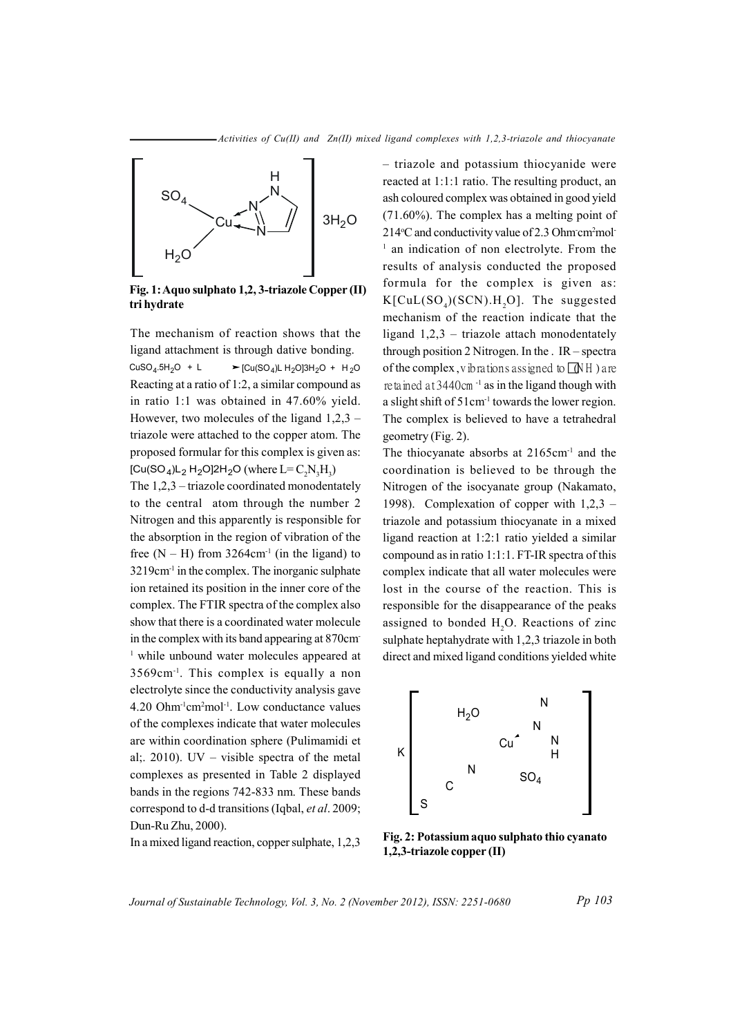

Fig. 1: Aquo sulphato 1,2, 3-triazole Copper (II) tri hydrate

The mechanism of reaction shows that the ligand attachment is through dative bonding. ► [Cu(SO<sub>4</sub>)L H<sub>2</sub>O]3H<sub>2</sub>O + H<sub>2</sub>O  $CuSO<sub>4</sub>.5H<sub>2</sub>O + L$ Reacting at a ratio of 1:2, a similar compound as in ratio 1:1 was obtained in 47.60% yield. However, two molecules of the ligand  $1,2,3$  – triazole were attached to the copper atom. The proposed formular for this complex is given as:  $[Cu(SO<sub>4</sub>)L<sub>2</sub> H<sub>2</sub>O]2H<sub>2</sub>O$  (where  $L = C<sub>2</sub>N<sub>2</sub>H<sub>2</sub>$ )

The  $1,2,3$  – triazole coordinated monodentately to the central atom through the number 2 Nitrogen and this apparently is responsible for the absorption in the region of vibration of the free  $(N - H)$  from 3264cm<sup>-1</sup> (in the ligand) to 3219cm<sup>-1</sup> in the complex. The inorganic sulphate ion retained its position in the inner core of the complex. The FTIR spectra of the complex also show that there is a coordinated water molecule in the complex with its band appearing at 870cm <sup>1</sup> while unbound water molecules appeared at  $3569cm<sup>-1</sup>$ . This complex is equally a non electrolyte since the conductivity analysis gave 4.20 Ohm<sup>-1</sup>cm<sup>2</sup>mol<sup>-1</sup>. Low conductance values of the complexes indicate that water molecules are within coordination sphere (Pulimamidi et al; 2010). UV – visible spectra of the metal complexes as presented in Table 2 displayed bands in the regions 742-833 nm. These bands correspond to d-d transitions (Iqbal, et al. 2009; Dun-Ru Zhu, 2000).

In a mixed ligand reaction, copper sulphate, 1,2,3

- triazole and potassium thiocyanide were reacted at 1:1:1 ratio. The resulting product, an ash coloured complex was obtained in good yield  $(71.60\%)$ . The complex has a melting point of 214°C and conductivity value of 2.3 Ohm cm<sup>2</sup>mol<sup>-</sup> <sup>1</sup> an indication of non electrolyte. From the results of analysis conducted the proposed formula for the complex is given as:  $K[CuL(SO<sub>a</sub>)(SCN).H<sub>a</sub>O]$ . The suggested mechanism of the reaction indicate that the ligand  $1,2,3$  – triazole attach monodentately through position 2 Nitrogen. In the  $IR$  – spectra of the complex, v ibrations assigned to  $\Box$ NH ) are retained at  $3440$ cm<sup>-1</sup> as in the ligand though with a slight shift of 51cm<sup>-1</sup> towards the lower region. The complex is believed to have a tetrahedral geometry (Fig. 2).

The thiocyanate absorbs at  $2165 \text{cm}^{-1}$  and the coordination is believed to be through the Nitrogen of the isocyanate group (Nakamato, 1998). Complexation of copper with  $1,2,3$  – triazole and potassium thiocyanate in a mixed ligand reaction at 1:2:1 ratio yielded a similar compound as in ratio 1:1:1. FT-IR spectra of this complex indicate that all water molecules were lost in the course of the reaction. This is responsible for the disappearance of the peaks assigned to bonded H<sub>2</sub>O. Reactions of zinc sulphate heptahydrate with 1,2,3 triazole in both direct and mixed ligand conditions yielded white



Fig. 2: Potassium aquo sulphato thio cyanato  $1,2,3$ -triazole copper (II)

Journal of Sustainable Technology, Vol. 3, No. 2 (November 2012), ISSN: 2251-0680

Pp 103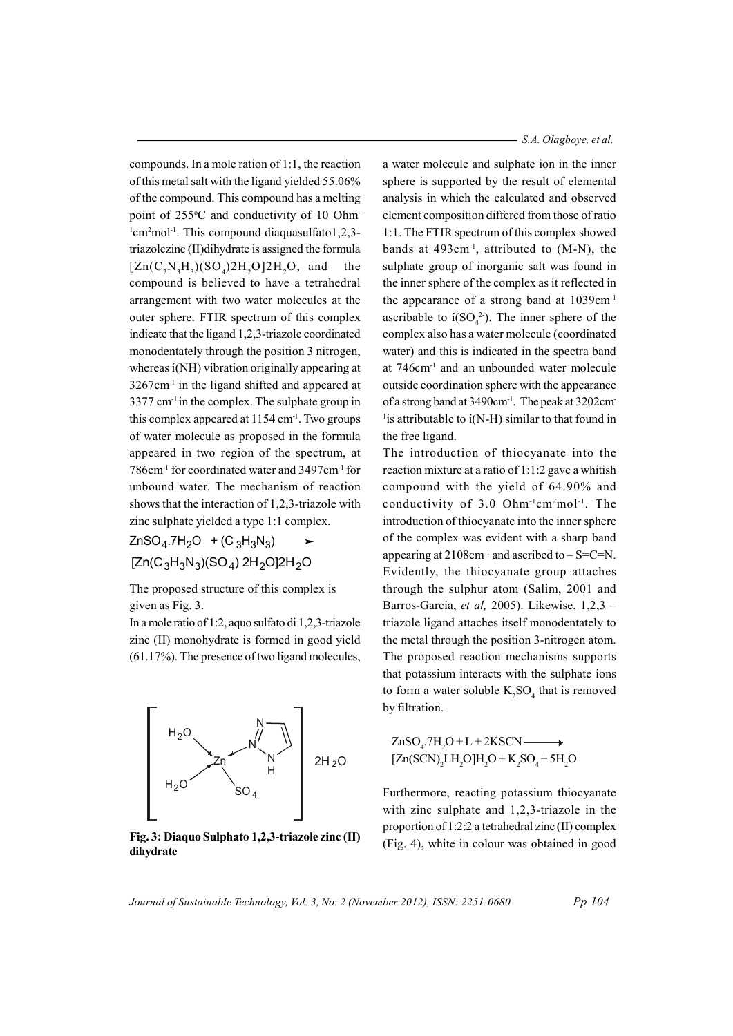compounds. In a mole ration of 1:1, the reaction of this metal salt with the ligand yielded 55.06% of the compound. This compound has a melting point of 255°C and conductivity of 10 Ohm  $\frac{1}{2}$ cm<sup>2</sup>mol<sup>-1</sup>. This compound diaquasulfato1,2,3triazolezinc (II) dihydrate is assigned the formula  $[Zn(C,N,H_{n})(SO_{n})2H_{n}O]2H_{n}O$ , and the compound is believed to have a tetrahedral arrangement with two water molecules at the outer sphere. FTIR spectrum of this complex indicate that the ligand 1,2,3-triazole coordinated monodentately through the position 3 nitrogen, whereas i(NH) vibration originally appearing at  $3267$ cm<sup>-1</sup> in the ligand shifted and appeared at 3377 cm<sup>-1</sup> in the complex. The sulphate group in this complex appeared at 1154 cm<sup>-1</sup>. Two groups of water molecule as proposed in the formula appeared in two region of the spectrum, at 786cm<sup>-1</sup> for coordinated water and 3497cm<sup>-1</sup> for unbound water. The mechanism of reaction shows that the interaction of 1,2,3-triazole with zinc sulphate yielded a type 1:1 complex.

ZnSO<sub>4</sub>.7H<sub>2</sub>O + (C<sub>3</sub>H<sub>3</sub>N<sub>3</sub>)  $[Zn(C_3H_3N_3)(SO_4) 2H_2O]2H_2O$ 

The proposed structure of this complex is given as Fig. 3.

In a mole ratio of 1:2, aguo sulfato di 1,2,3-triazole zinc (II) monohydrate is formed in good yield  $(61.17\%)$ . The presence of two ligand molecules.



Fig. 3: Diaquo Sulphato 1,2,3-triazole zinc (II) dihydrate

a water molecule and sulphate ion in the inner sphere is supported by the result of elemental analysis in which the calculated and observed element composition differed from those of ratio 1:1. The FTIR spectrum of this complex showed bands at  $493 \text{cm}^{-1}$ , attributed to (M-N), the sulphate group of inorganic salt was found in the inner sphere of the complex as it reflected in the appearance of a strong band at 1039cm<sup>-1</sup> ascribable to  $i(SO_4^2)$ . The inner sphere of the complex also has a water molecule (coordinated water) and this is indicated in the spectra band at 746cm<sup>-1</sup> and an unbounded water molecule outside coordination sphere with the appearance of a strong band at 3490cm<sup>-1</sup>. The peak at 3202cm <sup>1</sup> is attributable to  $i(N-H)$  similar to that found in the free ligand.

The introduction of thiocyanate into the reaction mixture at a ratio of 1:1:2 gave a whitish compound with the yield of 64.90% and conductivity of 3.0 Ohm<sup>-1</sup>cm<sup>2</sup>mol<sup>-1</sup>. The introduction of thiocyanate into the inner sphere of the complex was evident with a sharp band appearing at  $2108 \text{cm}^{-1}$  and ascribed to  $-S=C=N$ . Evidently, the thiocyanate group attaches through the sulphur atom (Salim, 2001 and Barros-Garcia, et al, 2005). Likewise, 1,2,3 triazole ligand attaches itself monodentately to the metal through the position 3-nitrogen atom. The proposed reaction mechanisms supports that potassium interacts with the sulphate ions to form a water soluble  $K_2SO_4$  that is removed by filtration.

$$
ZnSO_4.7H_2O + L + 2KSCN \longrightarrow
$$
  
[Zn(SCN)<sub>2</sub>LI<sub>2</sub>O]H<sub>2</sub>O + K<sub>2</sub>SO<sub>4</sub> + 5H<sub>2</sub>O

Furthermore, reacting potassium thiocyanate with zinc sulphate and  $1,2,3$ -triazole in the proportion of 1:2:2 a tetrahedral zinc (II) complex (Fig. 4), white in colour was obtained in good

Journal of Sustainable Technology, Vol. 3, No. 2 (November 2012), ISSN: 2251-0680

Pp 104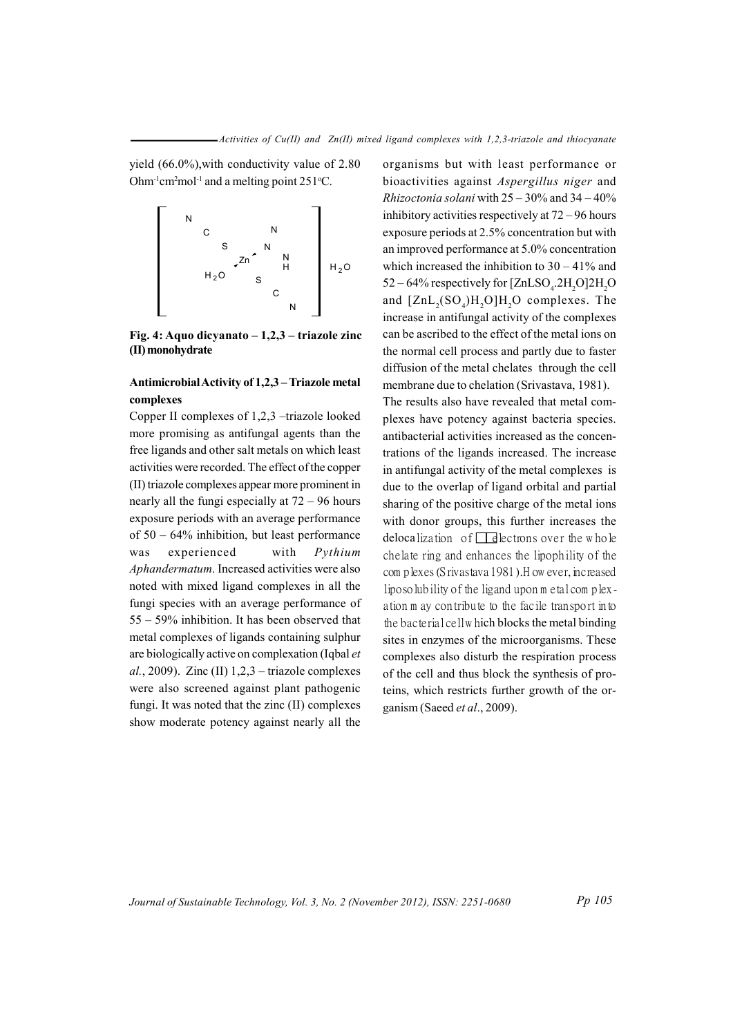yield  $(66.0\%)$ , with conductivity value of 2.80 Ohm<sup>-1</sup>cm<sup>2</sup>mol<sup>-1</sup> and a melting point  $251^{\circ}$ C.



Fig. 4: Aquo dicyanato  $-1,2,3$  – triazole zinc (II) monohydrate

## Antimicrobial Activity of 1,2,3 - Triazole metal complexes

Copper II complexes of 1,2,3 -triazole looked more promising as antifungal agents than the free ligands and other salt metals on which least activities were recorded. The effect of the copper (II) triazole complexes appear more prominent in nearly all the fungi especially at  $72 - 96$  hours exposure periods with an average performance of  $50 - 64\%$  inhibition, but least performance was experienced with Pythium Aphandermatum. Increased activities were also noted with mixed ligand complexes in all the fungi species with an average performance of 55 – 59% inhibition. It has been observed that metal complexes of ligands containing sulphur are biologically active on complexation (Iqbal et al., 2009). Zinc (II)  $1,2,3$  – triazole complexes were also screened against plant pathogenic fungi. It was noted that the zinc (II) complexes show moderate potency against nearly all the

organisms but with least performance or bioactivities against Aspergillus niger and *Rhizoctonia solani* with  $25 - 30\%$  and  $34 - 40\%$ inhibitory activities respectively at  $72 - 96$  hours exposure periods at 2.5% concentration but with an improved performance at 5.0% concentration which increased the inhibition to  $30 - 41\%$  and 52 – 64% respectively for [ZnLSO<sub>4</sub>.2H<sub>2</sub>O]2H<sub>2</sub>O and  $[ZnL_2(SO_4)H_2O]H_2O$  complexes. The increase in antifungal activity of the complexes can be ascribed to the effect of the metal ions on the normal cell process and partly due to faster diffusion of the metal chelates through the cell membrane due to chelation (Srivastava, 1981).

The results also have revealed that metal complexes have potency against bacteria species. antibacterial activities increased as the concentrations of the ligands increased. The increase in antifungal activity of the metal complexes is due to the overlap of ligand orbital and partial sharing of the positive charge of the metal ions with donor groups, this further increases the delocalization of  $\Box$  dectrons over the whole chelate ring and enhances the lipophility of the com plexes (S rivastava 1981). H ow ever, increased liposolubility of the ligand upon m etal complexation m ay contribute to the facile transport into the bacterial cell which blocks the metal binding sites in enzymes of the microorganisms. These complexes also disturb the respiration process of the cell and thus block the synthesis of proteins, which restricts further growth of the organism (Saeed et al., 2009).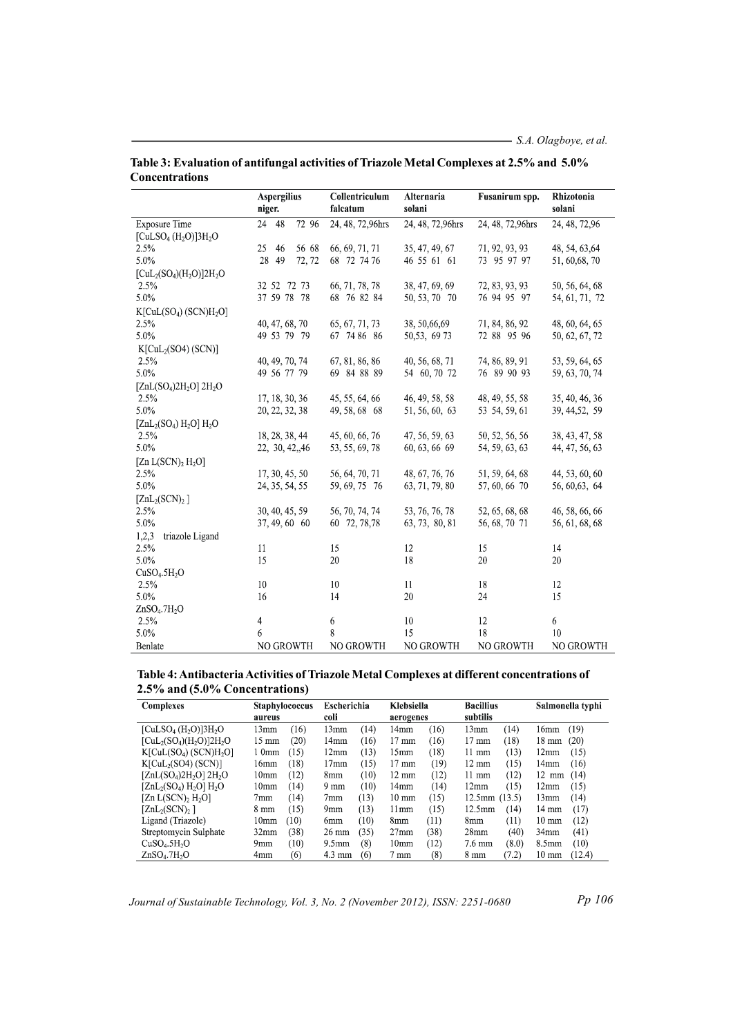|                                      | <b>Aspergilius</b><br>niger. | Collentriculum<br>falcatum | Alternaria<br>solani | Fusanirum spp.   | Rhizotonia<br>solani |  |
|--------------------------------------|------------------------------|----------------------------|----------------------|------------------|----------------------|--|
| <b>Exposure Time</b>                 | 48<br>72 96<br>24            | 24, 48, 72,96hrs           | 24, 48, 72,96hrs     | 24, 48, 72,96hrs | 24, 48, 72, 96       |  |
| $[CuLSO4(H2O)]3H2O$                  |                              |                            |                      |                  |                      |  |
| 2.5%                                 | 25<br>46<br>56 68            | 66, 69, 71, 71             | 35, 47, 49, 67       | 71, 92, 93, 93   | 48, 54, 63, 64       |  |
| 5.0%                                 | 28<br>49<br>72, 72           | 68 72 74 76                | 46 55 61 61          | 73 95 97 97      | 51, 60, 68, 70       |  |
| $[CuL2(SO4)(H2O)]2H2O$               |                              |                            |                      |                  |                      |  |
| 2.5%                                 | 32 52 72 73                  | 66, 71, 78, 78             | 38, 47, 69, 69       | 72, 83, 93, 93   | 50, 56, 64, 68       |  |
| 5.0%                                 | 37 59 78 78                  | 68 76 82 84                | 50, 53, 70 70        | 76 94 95 97      | 54, 61, 71, 72       |  |
| $K[CuL(SO4) (SCN)H2O]$               |                              |                            |                      |                  |                      |  |
| 2.5%                                 | 40, 47, 68, 70               | 65, 67, 71, 73             | 38, 50, 66, 69       | 71, 84, 86, 92   | 48, 60, 64, 65       |  |
| 5.0%                                 | 49 53 79 79                  | 67 74 86 86                | 50, 53, 69 73        | 72 88 95 96      | 50, 62, 67, 72       |  |
| K[CuL <sub>2</sub> (SO4) (SCN)]      |                              |                            |                      |                  |                      |  |
| 2.5%                                 | 40, 49, 70, 74               | 67, 81, 86, 86             | 40, 56, 68, 71       | 74, 86, 89, 91   | 53, 59, 64, 65       |  |
| 5.0%                                 | 49 56 77 79                  | 69 84 88 89                | 54 60, 70 72         | 76 89 90 93      | 59, 63, 70, 74       |  |
| $[ZnL(SO4)2H2O] 2H2O$                |                              |                            |                      |                  |                      |  |
| 2.5%                                 | 17, 18, 30, 36               | 45, 55, 64, 66             | 46, 49, 58, 58       | 48, 49, 55, 58   | 35, 40, 46, 36       |  |
| 5.0%                                 | 20, 22, 32, 38               | 49, 58, 68 68              | 51, 56, 60, 63       | 53 54, 59, 61    | 39, 44, 52, 59       |  |
| $[ZnL_2(SO_4) H_2O] H_2O$            |                              |                            |                      |                  |                      |  |
| 2.5%                                 | 18, 28, 38, 44               | 45, 60, 66, 76             | 47, 56, 59, 63       | 50, 52, 56, 56   | 38, 43, 47, 58       |  |
| 5.0%                                 | 22, 30, 42, 46               | 53, 55, 69, 78             | 60, 63, 66 69        | 54, 59, 63, 63   | 44, 47, 56, 63       |  |
| [Zn $L(SCN)$ , $H_2O$ ]              |                              |                            |                      |                  |                      |  |
| 2.5%                                 | 17, 30, 45, 50               | 56, 64, 70, 71             | 48, 67, 76, 76       | 51, 59, 64, 68   | 44, 53, 60, 60       |  |
| 5.0%                                 | 24, 35, 54, 55               | 59, 69, 75 76              | 63, 71, 79, 80       | 57, 60, 66 70    | 56, 60, 63, 64       |  |
| $[ZnL_2(SCN)_2]$                     |                              |                            |                      |                  |                      |  |
| 2.5%                                 | 30, 40, 45, 59               | 56, 70, 74, 74             | 53, 76, 76, 78       | 52, 65, 68, 68   | 46, 58, 66, 66       |  |
| 5.0%                                 | 37, 49, 60 60                | 60 72, 78,78               | 63, 73, 80, 81       | 56, 68, 70 71    | 56, 61, 68, 68       |  |
| 1,2,3<br>triazole Ligand             |                              |                            |                      |                  |                      |  |
| 2.5%                                 | 11                           | 15                         | 12                   | 15               | 14                   |  |
| 5.0%                                 | 15                           | 20                         | 18                   | 20               | 20                   |  |
| CuSO <sub>4</sub> .5H <sub>2</sub> O |                              |                            |                      |                  |                      |  |
| 2.5%                                 | 10                           | 10                         | 11                   | 18               | 12                   |  |
| 5.0%                                 | 16                           | 14                         | 20                   | 24               | 15                   |  |
| ZnSO <sub>4</sub> .7H <sub>2</sub> O |                              |                            |                      |                  |                      |  |
| 2.5%                                 | 4                            | 6                          | 10                   | 12               | 6                    |  |
| $5.0\%$                              | 6                            | 8                          | 15                   | 18               | 10                   |  |
| Benlate                              | NO GROWTH                    | <b>NO GROWTH</b>           | NO GROWTH            | NO GROWTH        | NO GROWTH            |  |

Table 3: Evaluation of antifungal activities of Triazole Metal Complexes at 2.5% and 5.0% **Concentrations** 

# Table 4: Antibacteria Activities of Triazole Metal Complexes at different concentrations of 2.5% and (5.0% Concentrations)

| Complexes                                                | <b>Staphylococcus</b><br>aureus | Escherichia<br>coli     | Klebsiella<br>aerogenes | <b>Bacillius</b><br>subtilis | Salmonella typhi  |
|----------------------------------------------------------|---------------------------------|-------------------------|-------------------------|------------------------------|-------------------|
| [CuLSO <sub>4</sub> (H <sub>2</sub> O)]3H <sub>2</sub> O | T6)                             | 13mm                    | (16)                    | 13mm                         | (19)              |
|                                                          | 13mm                            | (14                     | 14mm                    | T4)                          | 16mm              |
| $[CuL2(SO4)(H2O)]2H2O$                                   | (20)                            | 14 <sub>mm</sub>        | (16)                    | (18)                         | (20)              |
|                                                          | 15 mm                           | (16)                    | $17 \text{ mm}$         | $17 \text{ mm}$              | $18 \text{ mm}$   |
| $K[CuL(SO4) (SCN)H2O]$                                   | 10mm                            | (13)                    | (18)                    | (13)                         | 12mm              |
|                                                          | (15)                            | 12mm                    | 15 <sub>mm</sub>        | $11 \text{ mm}$              | (15)              |
| K[CuL <sub>2</sub> (SO4) (SCN)]                          | (18)                            | 17 <sub>mm</sub>        | (19)                    | $12 \text{ mm}$              | 14 <sub>mm</sub>  |
|                                                          | 16mm                            | (15)                    | $17 \text{ mm}$         | (15)                         | (16)              |
| $[ZnL(SO_4)2H_2O] 2H_2O$                                 | (12)                            | (10)                    | (12)                    | (12)                         | $12 \text{ mm}$   |
|                                                          | 10 <sub>mm</sub>                | 8mm                     | $12 \text{ mm}$         | $11 \text{ mm}$              | (14)              |
| $[ZnL_2(SO_4) H_2O] H_2O$                                | (14)                            | (10)                    | (14)                    | (15)                         | 12 <sub>mm</sub>  |
|                                                          | 10 <sub>mm</sub>                | $9 \text{ mm}$          | 14mm                    | 12 <sub>mm</sub>             | (15)              |
| [ $Zn L(SCN)$ , $H_2O$ ]                                 | (14)<br>7mm                     | (13)<br>7 <sub>mm</sub> | (15)<br>$10 \text{ mm}$ | $12.5$ mm $(13.5)$           | 13mm<br>(14)      |
| [ZnL,(SCN),]                                             | (15)                            | (13)                    | (15)                    | (14)                         | $14 \text{ mm}$   |
|                                                          | $8 \text{ mm}$                  | 9 <sub>mm</sub>         | 11mm                    | 12.5 <sub>mm</sub>           | (17)              |
| Ligand (Triazole)                                        | (10)                            | (10)                    | (11)                    | (11)                         | (12)              |
|                                                          | 10 <sub>mm</sub>                | 6 <sub>mm</sub>         | 8 <sub>mm</sub>         | 8 <sub>mm</sub>              | $10 \text{ mm}$   |
| Streptomycin Sulphate                                    | (38)                            | (35)                    | (38)                    | $28$ mm                      | (41)              |
|                                                          | 32mm                            | $26 \text{ mm}$         | 27 <sub>mm</sub>        | (40)                         | 34 <sub>mm</sub>  |
| CuSO <sub>4</sub> .5H <sub>2</sub> O                     | (10)                            | (8)                     | (12)                    | (8.0)                        | (10)              |
|                                                          | 9 <sub>mm</sub>                 | 9.5 <sub>mm</sub>       | 10 <sub>mm</sub>        | $7.6 \text{ mm}$             | 8.5 <sub>mm</sub> |
| ZnSO <sub>4</sub> .7H <sub>2</sub> O                     | (6)                             | $4.3 \text{ mm}$        | (8)                     | (7.2)                        | (12.4)            |
|                                                          | 4mm                             | (6)                     | $7 \text{ mm}$          | $8 \text{ mm}$               | $10 \text{ mm}$   |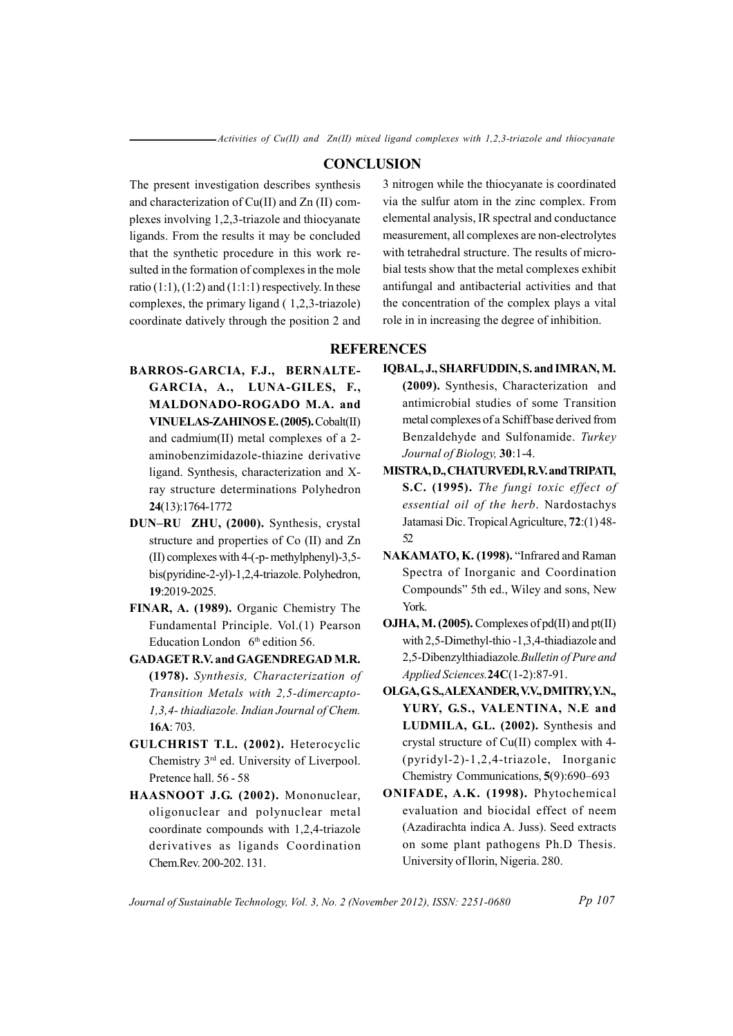$-Activities of Cu(II) and Zn(II) mixed ligand complexes with 1,2,3-triazole and thiocyanate$ 

### **CONCLUSION**

The present investigation describes synthesis and characterization of Cu(II) and Zn (II) complexes involving 1,2,3-triazole and thiocyanate ligands. From the results it may be concluded that the synthetic procedure in this work resulted in the formation of complexes in the mole ratio  $(1:1)$ ,  $(1:2)$  and  $(1:1:1)$  respectively. In these complexes, the primary ligand  $(1,2,3\text{-triazole})$ coordinate datively through the position 2 and

3 nitrogen while the thiocyanate is coordinated via the sulfur atom in the zinc complex. From elemental analysis, IR spectral and conductance measurement, all complexes are non-electrolytes with tetrahedral structure. The results of microbial tests show that the metal complexes exhibit antifungal and antibacterial activities and that the concentration of the complex plays a vital role in in increasing the degree of inhibition.

# **REFERENCES**

- BARROS-GARCIA, F.J., BERNALTE-GARCIA, A., LUNA-GILES, F., MALDONADO-ROGADO M.A. and VINUELAS-ZAHINOS E. (2005). Cobalt(II) and cadmium(II) metal complexes of a 2aminobenzimidazole-thiazine derivative ligand. Synthesis, characterization and Xray structure determinations Polyhedron 24(13):1764-1772
- DUN-RU ZHU, (2000). Synthesis, crystal structure and properties of Co (II) and Zn (II) complexes with 4-(-p- methylphenyl)-3,5bis(pyridine-2-yl)-1,2,4-triazole. Polyhedron, 19:2019-2025.
- FINAR, A. (1989). Organic Chemistry The Fundamental Principle. Vol.(1) Pearson Education London 6<sup>th</sup> edition 56.
- **GADAGET R.V. and GAGENDREGAD M.R.** (1978). Synthesis, Characterization of Transition Metals with 2,5-dimercapto-1,3,4-thiadiazole. Indian Journal of Chem. 16A: 703.
- GULCHRIST T.L. (2002). Heterocyclic Chemistry 3<sup>rd</sup> ed. University of Liverpool. Pretence hall. 56 - 58
- HAASNOOT J.G. (2002). Mononuclear, oligonuclear and polynuclear metal coordinate compounds with 1,2,4-triazole derivatives as ligands Coordination Chem.Rev. 200-202.131.
- IQBAL, J., SHARFUDDIN, S. and IMRAN, M. (2009). Synthesis, Characterization and antimicrobial studies of some Transition metal complexes of a Schiff base derived from Benzaldehyde and Sulfonamide. Turkey Journal of Biology, 30:1-4.
- MISTRA, D., CHATURVEDI, R.V. and TRIPATI, S.C. (1995). The fungi toxic effect of essential oil of the herb. Nardostachys Jatamasi Dic. Tropical Agriculture, 72:(1)48-52
- NAKAMATO, K. (1998). "Infrared and Raman Spectra of Inorganic and Coordination Compounds" 5th ed., Wiley and sons, New York.
- **OJHA, M. (2005).** Complexes of  $pd(II)$  and  $pt(II)$ with 2,5-Dimethyl-thio-1,3,4-thiadiazole and 2,5-Dibenzylthiadiazole. Bulletin of Pure and Applied Sciences.24C(1-2):87-91.
- OLGA, G.S., ALEXANDER, V.V., DMITRY, Y.N., YURY, G.S., VALENTINA, N.E and LUDMILA, G.L. (2002). Synthesis and crystal structure of Cu(II) complex with 4-(pyridyl-2)-1,2,4-triazole, Inorganic Chemistry Communications, 5(9):690–693
- ONIFADE, A.K. (1998). Phytochemical evaluation and biocidal effect of neem (Azadirachta indica A. Juss). Seed extracts on some plant pathogens Ph.D Thesis. University of Ilorin, Nigeria. 280.